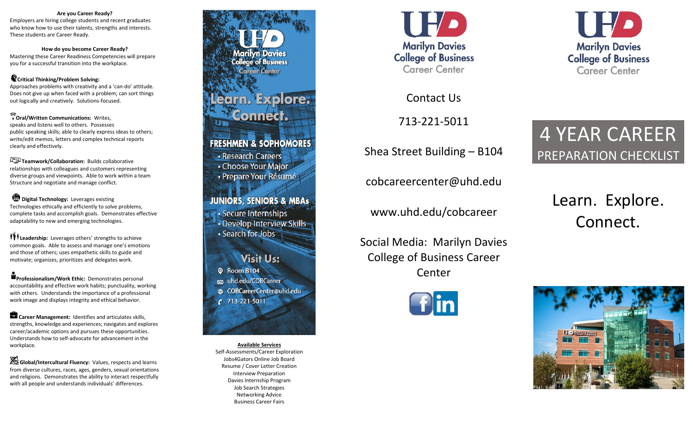#### **Are you Career Ready?**

Employers are hiring college students and recent graduates who know how to use their talents, strengths and interests. These students are Career Ready.

**How do you become Career Ready?**

Mastering these Career Readiness Competencies will prepare you for a successful transition into the workplace.

#### **Critical Thinking/Problem Solving:**

Approaches problems with creativity and a 'can-do' attitude. Does not give up when faced with a problem; can sort things out logically and creatively. Solutions-focused.

#### **Oral/Written Communications:** Writes,

speaks and listens well to others. Possesses public speaking skills; able to clearly express ideas to others; write/edit memos, letters and complex technical reports clearly and effectively.

**Teamwork/Collaboration:** Builds collaborative relationships with colleagues and customers representing diverse groups and viewpoints. Able to work within a team Structure and negotiate and manage conflict.

**D** Digital Technology: Leverages existing Technologies ethically and efficiently to solve problems, complete tasks and accomplish goals. Demonstrates effective adaptability to new and emerging technologies.

**III** Leadership: Leverages others' strengths to achieve common goals. Able to assess and manage one's emotions and those of others; uses empathetic skills to guide and motivate; organizes, prioritizes and delegates work.

**Professionalism/Work Ethic:** Demonstrates personal accountability and effective work habits; punctuality, working with others. Understands the importance of a professional work image and displays integrity and ethical behavior.

**Career Management:** Identifies and articulates skills, strengths, knowledge and experiences; navigates and explores career/academic options and pursues these opportunities. Understands how to self-advocate for advancement in the workplace.

**Global/Intercultural Fluency:** Values, respects and learns from diverse cultures, races, ages, genders, sexual orientations and religions. Demonstrates the ability to interact respectfully with all people and understands individuals' differences.

**Marilyn Davies College of Business Career Center** arn. Explore. onnect. **FRESHMEN & SOPHOMORES** • Research Careers

• Choose Your Major · Prepare Your Résumé

**JUNIORS, SENIORS & MBAs** · Secure Internships · Develop Interview Skills-· Search for Jobs

**Visit Us:** <sup>©</sup> Room B104 ca uhd.edu/COBCareer @ COBCareerCenter@uhd.edu  $C$  713-221-5011

**Available Services** Self-Assessments/Career Exploration Jobs4Gators Online Job Board Resume / Cover Letter Creation Interview Preparation Davies Internship Program Job Search Strategies Networking Advice Business Career Fairs



Contact Us

713-221-5011

Shea Street Building – B104

cobcareercenter@uhd.edu

www.uhd.edu/cobcareer

Social Media: Marilyn Davies College of Business Career Center





# 4 YEAR CAREER PREPARATION CHECKLIST

Learn. Explore. Connect.